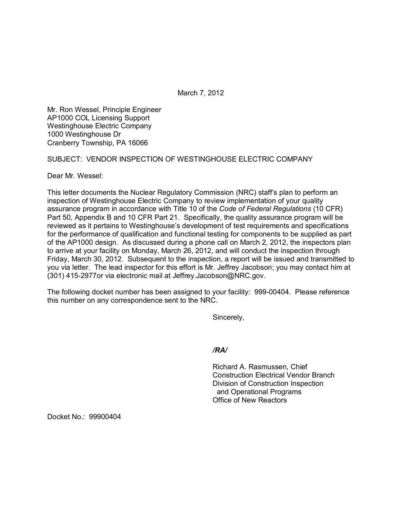March 7, 2012

Mr. Ron Wessel, Principle Engineer AP1000 COL Licensing Support Westinghouse Electric Company 1000 Westinghouse Dr Cranberry Township, PA 16066

SUBJECT: VENDOR INSPECTION OF WESTINGHOUSE ELECTRIC COMPANY

Dear Mr. Wessel:

This letter documents the Nuclear Regulatory Commission (NRC) staff's plan to perform an inspection of Westinghouse Electric Company to review implementation of your quality assurance program in accordance with Title 10 of the *Code of Federal Regulations* (10 CFR) Part 50, Appendix B and 10 CFR Part 21. Specifically, the quality assurance program will be reviewed as it pertains to Westinghouse's development of test requirements and specifications for the performance of qualification and functional testing for components to be supplied as part of the AP1000 design. As discussed during a phone call on March 2, 2012, the inspectors plan to arrive at your facility on Monday, March 26, 2012, and will conduct the inspection through Friday, March 30, 2012. Subsequent to the inspection, a report will be issued and transmitted to you via letter. The lead inspector for this effort is Mr. Jeffrey Jacobson; you may contact him at (301) 415-2977or via electronic mail at Jeffrey.Jacobson@NRC.gov.

The following docket number has been assigned to your facility: 999-00404. Please reference this number on any correspondence sent to the NRC.

Sincerely,

*/RA/*

Richard A. Rasmussen, Chief Construction Electrical Vendor Branch Division of Construction Inspection and Operational Programs Office of New Reactors

Docket No.: 99900404